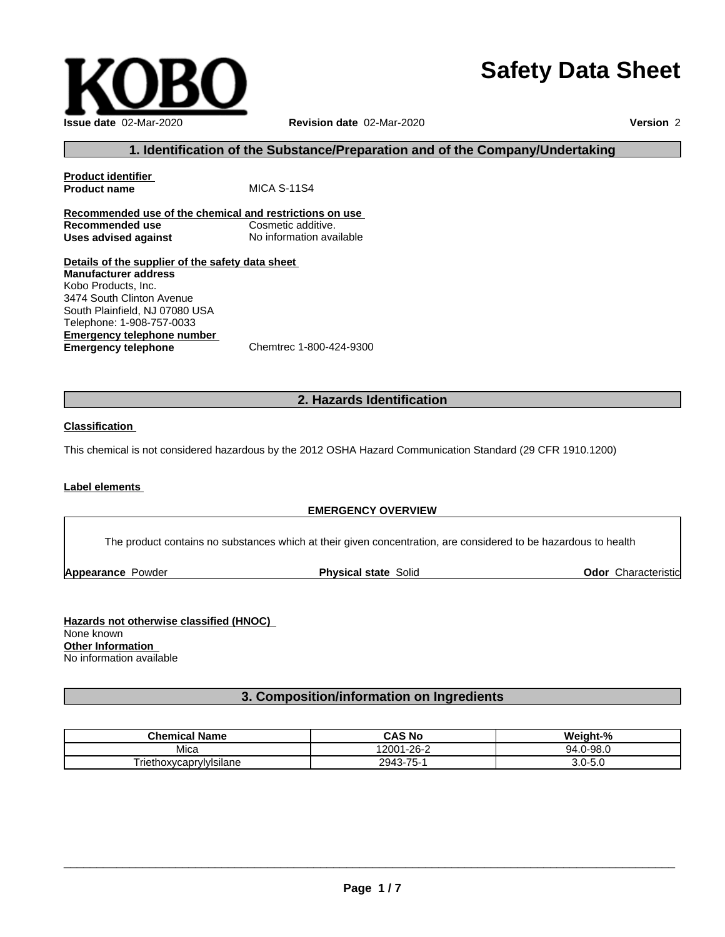# **Safety Data Sheet**



### **1. Identification of the Substance/Preparation and of the Company/Undertaking**

**Product identifier MICA S-11S4 Recommended use of the chemical and restrictions on use Recommended use Cosmetic additive.** 

**Uses advised against** No information available

**Details of the supplier of the safety data sheet Emergency telephone number**<br> **Emergency telephone**<br>
Chemtrec 1-800-424-9300 **Emergency telephone Manufacturer address** Kobo Products, Inc. 3474 South Clinton Avenue South Plainfield, NJ 07080 USA Telephone: 1-908-757-0033

### **2. Hazards Identification**

### **Classification**

This chemical is not considered hazardous by the 2012 OSHA Hazard Communication Standard (29 CFR 1910.1200)

### **Label elements**

### **EMERGENCY OVERVIEW**

The product contains no substances which at their given concentration, are considered to be hazardous to health

**Appearance Powder <b>Physical state** Solid

**Odor** Characteristic

**Hazards not otherwise classified (HNOC)** None known **Other Information** No information available

### **3. Composition/information on Ingredients**

| <b>Chemical Name</b>         | <b>CAS No</b>    | $^{\circ}$<br><br>Weiat<br>. пт- |
|------------------------------|------------------|----------------------------------|
| Mica                         | ≙-1-26∠<br>'2001 | )-98.0<br>94.<br>. .             |
| -<br>Friethoxycaprylylsilane | 2943-75-1        | −∪.∪<br>ີ                        |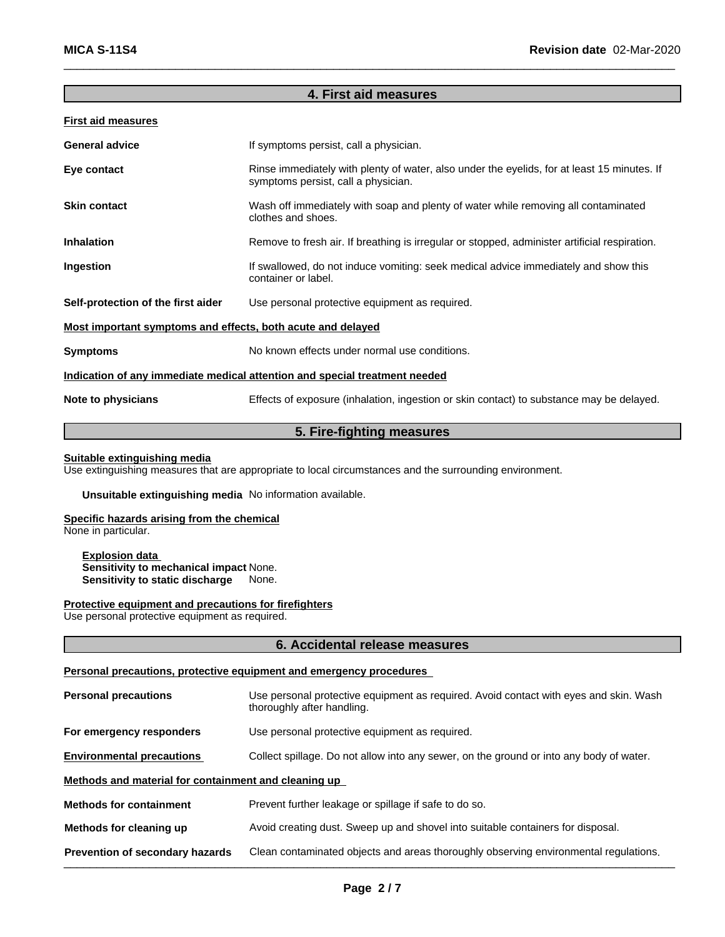### **4. First aid measures**

| <b>General advice</b>                                                      | If symptoms persist, call a physician.                                                                                             |  |
|----------------------------------------------------------------------------|------------------------------------------------------------------------------------------------------------------------------------|--|
| Eye contact                                                                | Rinse immediately with plenty of water, also under the eyelids, for at least 15 minutes. If<br>symptoms persist, call a physician. |  |
| <b>Skin contact</b>                                                        | Wash off immediately with soap and plenty of water while removing all contaminated<br>clothes and shoes.                           |  |
| <b>Inhalation</b>                                                          | Remove to fresh air. If breathing is irregular or stopped, administer artificial respiration.                                      |  |
| <b>Ingestion</b>                                                           | If swallowed, do not induce vomiting: seek medical advice immediately and show this<br>container or label.                         |  |
| Self-protection of the first aider                                         | Use personal protective equipment as required.                                                                                     |  |
| Most important symptoms and effects, both acute and delayed                |                                                                                                                                    |  |
| <b>Symptoms</b>                                                            | No known effects under normal use conditions.                                                                                      |  |
| Indication of any immediate medical attention and special treatment needed |                                                                                                                                    |  |
| Note to physicians                                                         | Effects of exposure (inhalation, ingestion or skin contact) to substance may be delayed.                                           |  |

# **5. Fire-fighting measures**

### **Suitable extinguishing media**

Use extinguishing measures that are appropriate to local circumstances and the surrounding environment.

**Unsuitable extinguishing media** No information available.

### **Specific hazards arising from the chemical**

None in particular.

**Explosion data Sensitivity to mechanical impact None.**<br>**Sensitivity to static discharge** None. **Sensitivity to static discharge** 

### **Protective equipment and precautions for firefighters**

Use personal protective equipment as required.

### **6. Accidental release measures**

### **Personal precautions, protective equipment and emergency procedures**

| <b>Personal precautions</b>                          | Use personal protective equipment as required. Avoid contact with eyes and skin. Wash<br>thoroughly after handling. |  |
|------------------------------------------------------|---------------------------------------------------------------------------------------------------------------------|--|
| For emergency responders                             | Use personal protective equipment as required.                                                                      |  |
| <b>Environmental precautions</b>                     | Collect spillage. Do not allow into any sewer, on the ground or into any body of water.                             |  |
| Methods and material for containment and cleaning up |                                                                                                                     |  |
| <b>Methods for containment</b>                       | Prevent further leakage or spillage if safe to do so.                                                               |  |
| Methods for cleaning up                              | Avoid creating dust. Sweep up and shovel into suitable containers for disposal.                                     |  |
| Prevention of secondary hazards                      | Clean contaminated objects and areas thoroughly observing environmental regulations.                                |  |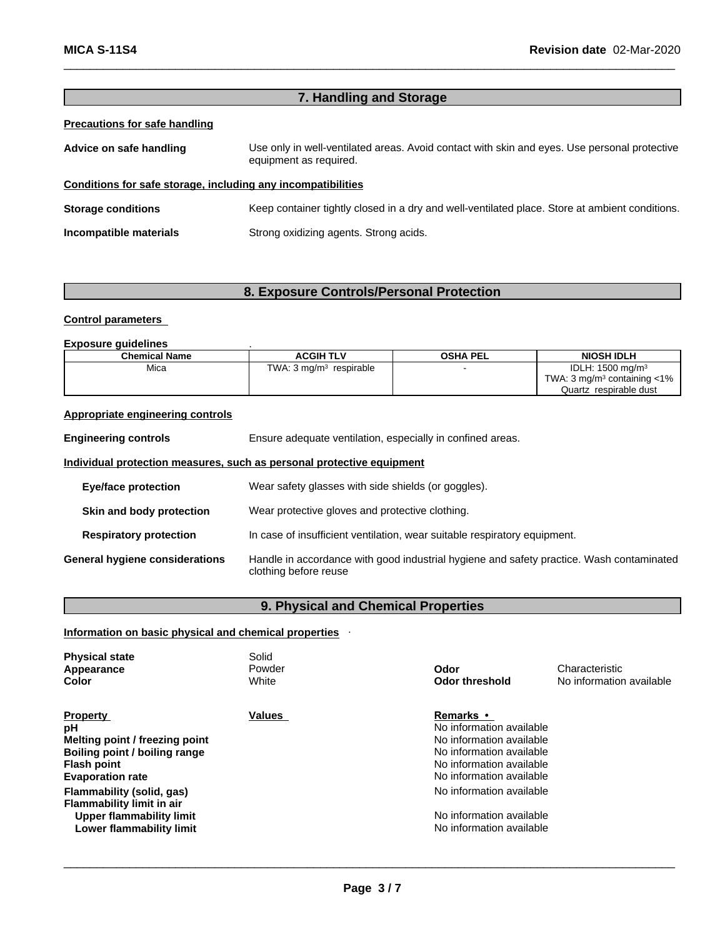|                                                              | 7. Handling and Storage                                                                                                |  |  |
|--------------------------------------------------------------|------------------------------------------------------------------------------------------------------------------------|--|--|
| <b>Precautions for safe handling</b>                         |                                                                                                                        |  |  |
| Advice on safe handling                                      | Use only in well-ventilated areas. Avoid contact with skin and eyes. Use personal protective<br>equipment as required. |  |  |
| Conditions for safe storage, including any incompatibilities |                                                                                                                        |  |  |
| <b>Storage conditions</b>                                    | Keep container tightly closed in a dry and well-ventilated place. Store at ambient conditions.                         |  |  |
| Incompatible materials                                       | Strong oxidizing agents. Strong acids.                                                                                 |  |  |
|                                                              |                                                                                                                        |  |  |

### **8. Exposure Controls/Personal Protection**

### **Control parameters**

### **Exposure guidelines** .

| <b>Chemical Name</b> | <b>ACGIH TLV</b>           | <b>OSHA PEL</b> | <b>NIOSH IDLH</b>                               |
|----------------------|----------------------------|-----------------|-------------------------------------------------|
| Mica                 | TWA: 3 ma/mª<br>respirable |                 | IDLH: $1500$ mg/m <sup>3</sup>                  |
|                      |                            |                 | : 3 mg/m <sup>3</sup> containing $<$ 1%<br>TWA. |
|                      |                            |                 | respirable dust<br>Quartz                       |

### **Appropriate engineering controls**

**Engineering controls** Ensure adequate ventilation, especially in confined areas. **Individual protection measures, such as personal protective equipment Eye/face protection** Wear safety glasses with side shields (or goggles). **Skin and body protection** Wear protective gloves and protective clothing. **Respiratory protection** In case of insufficient ventilation, wear suitable respiratory equipment. **General hygiene considerations** Handle in accordance with good industrial hygiene and safety practice. Wash contaminated clothing before reuse

# . **9. Physical and Chemical Properties**

### **Information on basic physical and chemical properties**

| Values<br><b>Remarks</b> •<br><b>Property</b><br>No information available<br>рH<br>Melting point / freezing point<br>No information available<br>No information available<br>Boiling point / boiling range<br>No information available<br><b>Flash point</b><br><b>Evaporation rate</b><br>No information available<br>No information available<br>Flammability (solid, gas)<br>Flammability limit in air<br>No information available<br>Upper flammability limit<br>No information available<br>Lower flammability limit | <b>Physical state</b><br>Appearance<br>Color | Solid<br>Powder<br>White | Odor<br><b>Odor threshold</b> | Characteristic<br>No information available |
|---------------------------------------------------------------------------------------------------------------------------------------------------------------------------------------------------------------------------------------------------------------------------------------------------------------------------------------------------------------------------------------------------------------------------------------------------------------------------------------------------------------------------|----------------------------------------------|--------------------------|-------------------------------|--------------------------------------------|
|                                                                                                                                                                                                                                                                                                                                                                                                                                                                                                                           |                                              |                          |                               |                                            |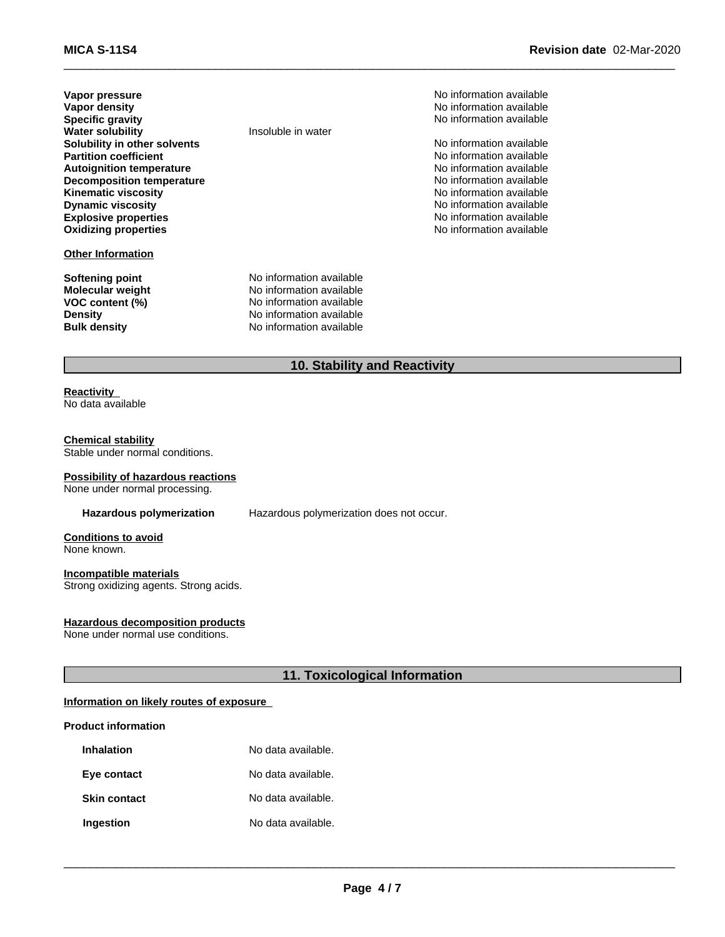| Vapor pressure                   |
|----------------------------------|
| Vapor density                    |
| <b>Specific gravity</b>          |
| <b>Water solubility</b>          |
| Solubility in other solvents     |
| <b>Partition coefficient</b>     |
| <b>Autoignition temperature</b>  |
| <b>Decomposition temperature</b> |
| <b>Kinematic viscosity</b>       |
| <b>Dynamic viscosity</b>         |
| <b>Explosive properties</b>      |
| <b>Oxidizing properties</b>      |
|                                  |

### **Other Information**

**Softening point** No information available **Molecular weight** No information available **VOC** content (%) No information available **Density Density Density Bulk density Research American** No information available

**Insoluble in water** 

**No information available No information available Specific gravity** No information available

**No information available No information available No information available No information available Kinematic viscosity** No information available **Dynamic viscosity** No information available **Explosive properties** No information available **Oxidizing properties** No information available

**No information available** 

**10. Stability and Reactivity**

### **Reactivity** No data available

### **Chemical stability**

Stable under normal conditions.

# **Possibility of hazardous reactions**

None under normal processing.

**Hazardous polymerization** Hazardous polymerization does not occur.

### **Conditions to avoid** None known.

**Incompatible materials**

Strong oxidizing agents. Strong acids.

### **Hazardous decomposition products**

None under normal use conditions.

### **11. Toxicological Information**

### **Information on likely routes of exposure**

### **Product information**

| <b>Inhalation</b>   | No data available. |
|---------------------|--------------------|
| Eye contact         | No data available. |
| <b>Skin contact</b> | No data available. |
| Ingestion           | No data available. |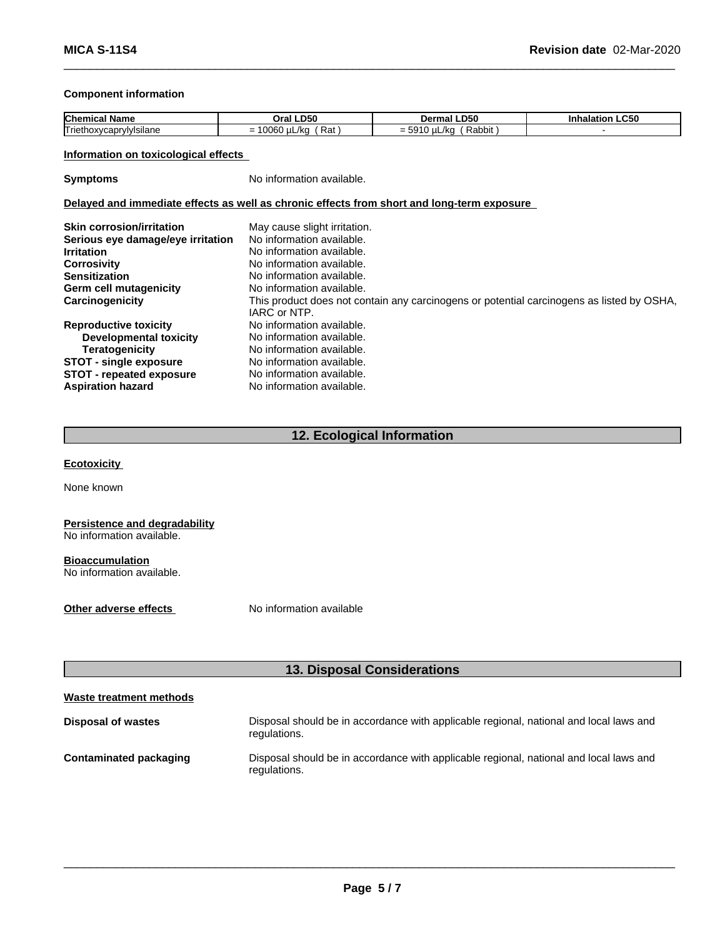### **Component information**

| <b>Chemical</b>                               | <b>_D50</b>                                                                | -D50                                   | LC50  |
|-----------------------------------------------|----------------------------------------------------------------------------|----------------------------------------|-------|
| ∣ Name                                        | Orai.                                                                      | Dermal                                 | таног |
| <b>Triethoxy</b><br>$\sim$<br>/caprvivisiiane | 0.000<br>$\overline{\phantom{a}}$<br>ື້<br>_/kc<br>$\lambda$<br><b>Ral</b> | $-0.5$<br>Rabbit<br>/ko<br>-<br>= ರಿತಿ |       |

### **Information on toxicological effects**

**Symptoms** No information available.

### **Delayed and immediate effects as well as chronic effects from short and long-term exposure**

| <b>Skin corrosion/irritation</b><br>Serious eye damage/eye irritation<br><b>Irritation</b> | May cause slight irritation.<br>No information available.<br>No information available.<br>No information available. |
|--------------------------------------------------------------------------------------------|---------------------------------------------------------------------------------------------------------------------|
| <b>Corrosivity</b><br><b>Sensitization</b>                                                 | No information available.                                                                                           |
| <b>Germ cell mutagenicity</b>                                                              | No information available.                                                                                           |
| Carcinogenicity                                                                            | This product does not contain any carcinogens or potential carcinogens as listed by OSHA,<br>IARC or NTP.           |
| <b>Reproductive toxicity</b>                                                               | No information available.                                                                                           |
| Developmental toxicity                                                                     | No information available.                                                                                           |
| Teratogenicity                                                                             | No information available.                                                                                           |
| <b>STOT - single exposure</b>                                                              | No information available.                                                                                           |
| <b>STOT</b> - repeated exposure                                                            | No information available.                                                                                           |
| <b>Aspiration hazard</b>                                                                   | No information available.                                                                                           |

## **12. Ecological Information**

**Ecotoxicity** 

None known

### **Persistence and degradability** No information available.

**Bioaccumulation** No information available.

**Other adverse effects** No information available

# **13. Disposal Considerations**

| Waste treatment methods   |                                                                                                        |
|---------------------------|--------------------------------------------------------------------------------------------------------|
| <b>Disposal of wastes</b> | Disposal should be in accordance with applicable regional, national and local laws and<br>regulations. |
| Contaminated packaging    | Disposal should be in accordance with applicable regional, national and local laws and<br>regulations. |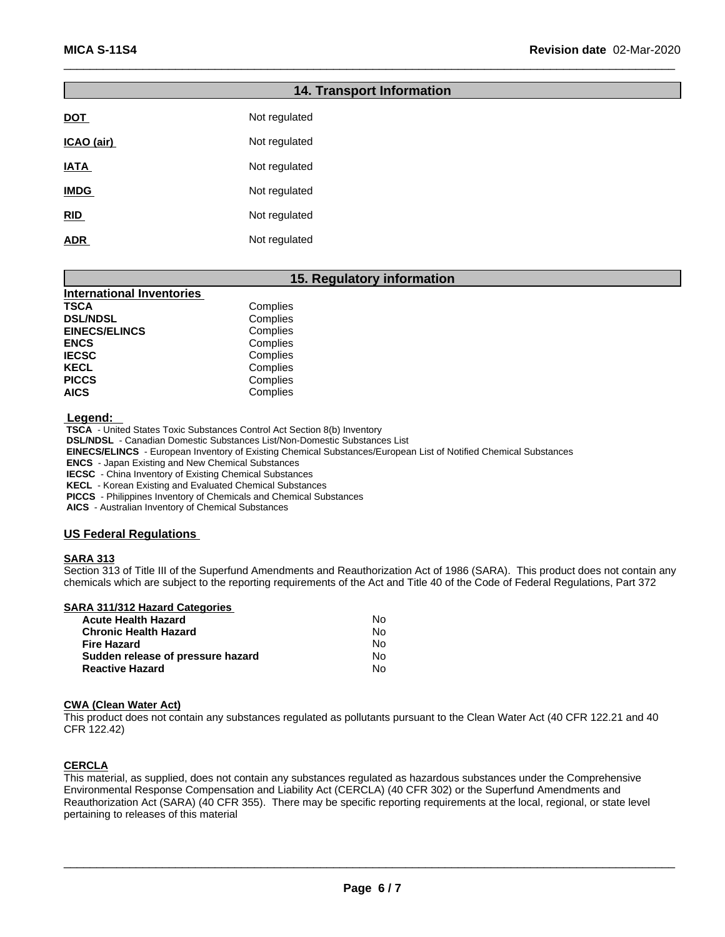|             | <b>14. Transport Information</b> |
|-------------|----------------------------------|
| <b>DOT</b>  | Not regulated                    |
| ICAO (air)  | Not regulated                    |
| <b>IATA</b> | Not regulated                    |
| <b>IMDG</b> | Not regulated                    |
| RID         | Not regulated                    |
| <b>ADR</b>  | Not regulated                    |

### **15. Regulatory information**

| <b>International Inventories</b> |          |  |
|----------------------------------|----------|--|
| TSCA                             | Complies |  |
| <b>DSL/NDSL</b>                  | Complies |  |
| <b>EINECS/ELINCS</b>             | Complies |  |
| <b>ENCS</b>                      | Complies |  |
| <b>IECSC</b>                     | Complies |  |
| <b>KECL</b>                      | Complies |  |
| <b>PICCS</b>                     | Complies |  |
| <b>AICS</b>                      | Complies |  |

 **Legend:** 

 **TSCA** - United States Toxic Substances Control Act Section 8(b) Inventory

 **DSL/NDSL** - Canadian Domestic Substances List/Non-Domestic Substances List

 **EINECS/ELINCS** - European Inventory of Existing Chemical Substances/European List of Notified Chemical Substances

 **ENCS** - Japan Existing and New Chemical Substances

 **IECSC** - China Inventory of Existing Chemical Substances

 **KECL** - Korean Existing and Evaluated Chemical Substances

 **PICCS** - Philippines Inventory of Chemicals and Chemical Substances

 **AICS** - Australian Inventory of Chemical Substances

### **US Federal Regulations**

### **SARA 313**

Section 313 of Title III of the Superfund Amendments and Reauthorization Act of 1986 (SARA). This product does not contain any chemicals which are subject to the reporting requirements of the Act and Title 40 of the Code of Federal Regulations, Part 372

| SARA 311/312 Hazard Categories    |    |
|-----------------------------------|----|
| <b>Acute Health Hazard</b>        | No |
| <b>Chronic Health Hazard</b>      | No |
| <b>Fire Hazard</b>                | No |
| Sudden release of pressure hazard | N٥ |
| <b>Reactive Hazard</b>            | No |

### **CWA (Clean WaterAct)**

This product does not contain any substances regulated as pollutants pursuant to the Clean Water Act (40 CFR 122.21 and 40 CFR 122.42)

### **CERCLA**

This material, as supplied, does not contain any substances regulated as hazardous substances under the Comprehensive Environmental Response Compensation and Liability Act (CERCLA) (40 CFR 302) or the Superfund Amendments and Reauthorization Act (SARA) (40 CFR 355). There may be specific reporting requirements at the local, regional, or state level pertaining to releases of this material